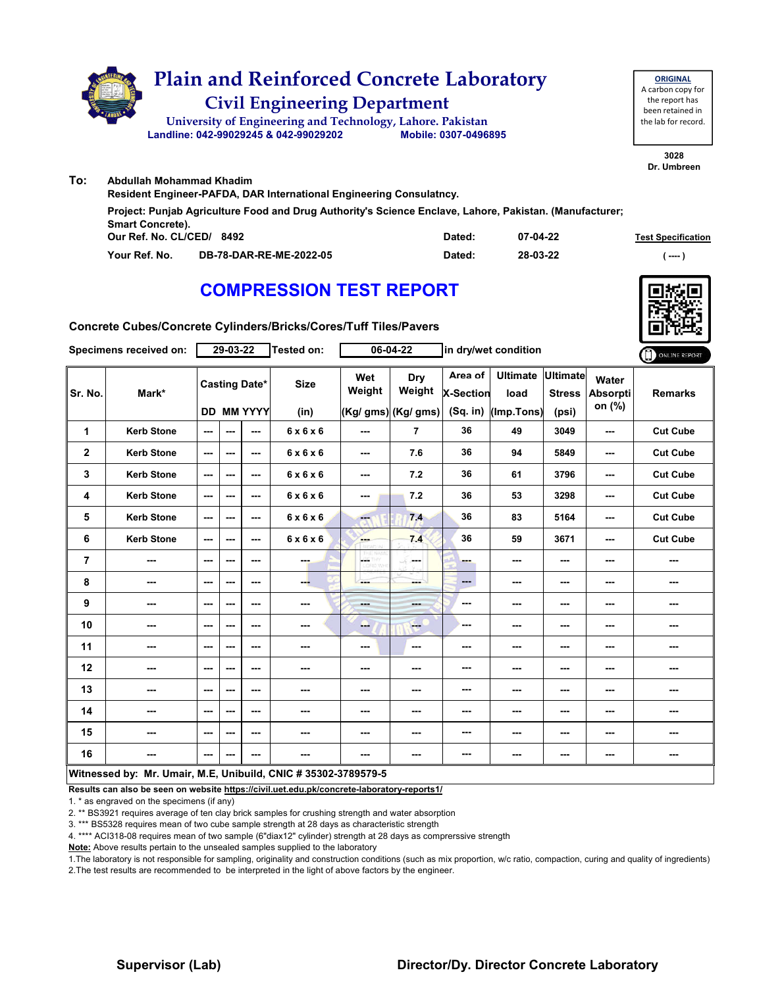

|                           | Resident Engineer-PAFDA, DAR International Engineering Consulatncy.                                     |        |          |                           |
|---------------------------|---------------------------------------------------------------------------------------------------------|--------|----------|---------------------------|
|                           | Project: Punjab Agriculture Food and Drug Authority's Science Enclave, Lahore, Pakistan. (Manufacturer; |        |          |                           |
| <b>Smart Concrete).</b>   |                                                                                                         |        |          |                           |
| Our Ref. No. CL/CED/ 8492 |                                                                                                         | Dated: | 07-04-22 | <b>Test Specification</b> |
| Your Ref. No.             | DB-78-DAR-RE-ME-2022-05                                                                                 | Dated: | 28-03-22 | $---$                     |

# **COMPRESSION TEST REPORT**



**Concrete Cubes/Concrete Cylinders/Bricks/Cores/Tuff Tiles/Pavers**

| Specimens received on: |                                                                |                          | 29-03-22 |                      | Tested on:            |               | 06-04-22            | in dry/wet condition        |                         |                                  |                          | ONLINE REPORT   |
|------------------------|----------------------------------------------------------------|--------------------------|----------|----------------------|-----------------------|---------------|---------------------|-----------------------------|-------------------------|----------------------------------|--------------------------|-----------------|
| Sr. No.                | Mark*                                                          |                          |          | <b>Casting Date*</b> | <b>Size</b>           | Wet<br>Weight | Dry<br>Weight       | Area of<br><b>X-Section</b> | <b>Ultimate</b><br>load | <b>Ultimate</b><br><b>Stress</b> | Water<br><b>Absorpti</b> | <b>Remarks</b>  |
|                        |                                                                |                          |          | <b>DD MM YYYY</b>    | (in)                  |               | (Kg/ gms) (Kg/ gms) | $(Sq.$ in)                  | (Imp.Tons)              | (psi)                            | on (%)                   |                 |
| 1                      | <b>Kerb Stone</b>                                              | $\sim$ $\sim$            | ---      | ---                  | $6 \times 6 \times 6$ | $- - -$       | $\overline{7}$      | 36                          | 49                      | 3049                             | ---                      | <b>Cut Cube</b> |
| $\mathbf{2}$           | <b>Kerb Stone</b>                                              | $\qquad \qquad \cdots$   | ---      | ---                  | $6 \times 6 \times 6$ | $\sim$        | 7.6                 | 36                          | 94                      | 5849                             | $\overline{\phantom{a}}$ | <b>Cut Cube</b> |
| 3                      | <b>Kerb Stone</b>                                              | ---                      | ---      | ---                  | $6 \times 6 \times 6$ | $\sim$ $\sim$ | 7.2                 | 36                          | 61                      | 3796                             | $\sim$ $\sim$            | <b>Cut Cube</b> |
| 4                      | <b>Kerb Stone</b>                                              | $\overline{\phantom{a}}$ | ---      | ---                  | 6x6x6                 | ---           | 7.2                 | 36                          | 53                      | 3298                             | $\overline{\phantom{a}}$ | <b>Cut Cube</b> |
| 5                      | <b>Kerb Stone</b>                                              | ---                      | ---      | ---                  | $6 \times 6 \times 6$ | ---           | 7.4                 | 36                          | 83                      | 5164                             | ---                      | <b>Cut Cube</b> |
| 6                      | <b>Kerb Stone</b>                                              | ---                      | ---      | ---                  | $6 \times 6 \times 6$ | <b>House</b>  | 7.4                 | 36                          | 59                      | 3671                             | ---                      | <b>Cut Cube</b> |
| 7                      | ---                                                            | $- - -$                  | ---      | ---                  |                       | posts.        | ومحمد               | ---                         | ---                     | $\overline{\phantom{a}}$         | ---                      | ---             |
| 8                      | ---                                                            | ---                      | ---      | ---                  | ---                   |               | ---                 | $\qquad \qquad \cdots$      | ---                     | $\overline{\phantom{a}}$         | ---                      | ---             |
| 9                      | ---                                                            | $\overline{\phantom{a}}$ | ---      | ---                  | ---                   | $- - -$       | ---                 | ---                         | ---                     | ---                              | ---                      | ---             |
| 10                     | ---                                                            | ---                      | ---      | ---                  | ---                   | --            | $-$                 | ---                         | ---                     | ---                              | ---                      | ---             |
| 11                     | ---                                                            | ---                      | ---      | ---                  | ---                   | ---           | ---                 | ---                         | ---                     | ---                              | ---                      | ---             |
| 12                     | ---                                                            | ---                      | ---      | ---                  | ---                   | ---           | ---                 | ---                         | ---                     | ---                              | ---                      | ---             |
| 13                     | ---                                                            | ---                      | ---      | ---                  | ---                   | ---           | ---                 | ---                         | ---                     | ---                              | ---                      |                 |
| 14                     | ---                                                            | $- - -$                  | ---      | $\sim$ $\sim$        | ---                   | ---           | ---                 | ---                         | ---                     | $\sim$                           | ---                      | ---             |
| 15                     | ---                                                            | ---                      | ---      | ---                  |                       | ---           | ---                 | ---                         | ---                     | ---                              | ---                      | ---             |
| 16                     | ---                                                            | $\overline{\phantom{a}}$ | ---      | ---                  | ---                   | $\cdots$      | ---                 | ---                         | ---                     | ---                              | $\overline{\phantom{a}}$ | ---             |
|                        | Witnessed by: Mr. Umair, M.E, Unibuild, CNIC # 35302-3789579-5 |                          |          |                      |                       |               |                     |                             |                         |                                  |                          |                 |

**Results can also be seen on website https://civil.uet.edu.pk/concrete-laboratory-reports1/**

1. \* as engraved on the specimens (if any)

2. \*\* BS3921 requires average of ten clay brick samples for crushing strength and water absorption

3. \*\*\* BS5328 requires mean of two cube sample strength at 28 days as characteristic strength

4. \*\*\*\* ACI318-08 requires mean of two sample (6"diax12" cylinder) strength at 28 days as comprerssive strength

**Note:** Above results pertain to the unsealed samples supplied to the laboratory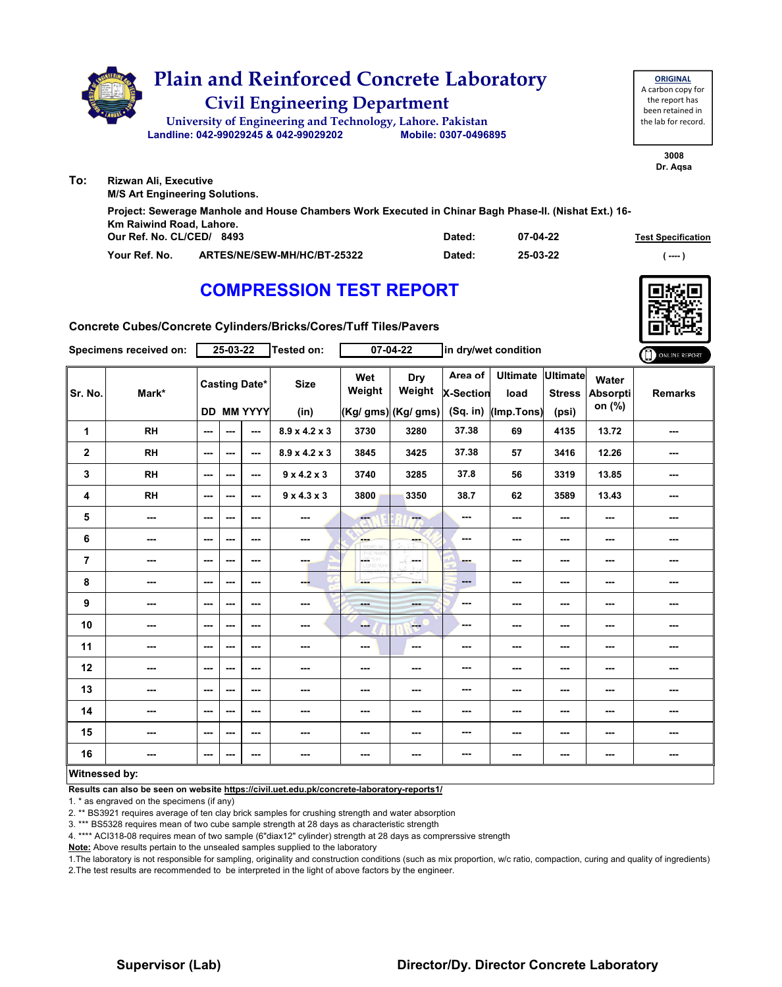|     | <b>Plain and Reinforced Concrete Laboratory</b><br><b>Civil Engineering Department</b><br>University of Engineering and Technology, Lahore. Pakistan<br>Landline: 042-99029245 & 042-99029202 | Mobile: 0307-0496895 |          | <b>ORIGINAL</b><br>A carbon copy for<br>the report has<br>been retained in<br>the lab for record. |
|-----|-----------------------------------------------------------------------------------------------------------------------------------------------------------------------------------------------|----------------------|----------|---------------------------------------------------------------------------------------------------|
| To: | <b>Rizwan Ali, Executive</b>                                                                                                                                                                  |                      |          | 3008<br>Dr. Agsa                                                                                  |
|     | <b>M/S Art Engineering Solutions.</b>                                                                                                                                                         |                      |          |                                                                                                   |
|     | Project: Sewerage Manhole and House Chambers Work Executed in Chinar Bagh Phase-II. (Nishat Ext.) 16-<br>Km Raiwind Road, Lahore.<br>Our Ref. No. CL/CED/ 8493                                | Dated:               | 07-04-22 |                                                                                                   |
|     |                                                                                                                                                                                               |                      |          | <b>Test Specification</b>                                                                         |

**Your Ref. No. ARTES/NE/SEW-MH/HC/BT-25322 Dated: ( ---- )**

**25-03-22**

# **COMPRESSION TEST REPORT**



**Concrete Cubes/Concrete Cylinders/Bricks/Cores/Tuff Tiles/Pavers**

|                      | Specimens received on: |         | 25-03-22                 |                                           | Tested on:                |                         | $07 - 04 - 22$                       | in dry/wet condition                    |                                       |                                           |                                    | ONLINE REPORT  |
|----------------------|------------------------|---------|--------------------------|-------------------------------------------|---------------------------|-------------------------|--------------------------------------|-----------------------------------------|---------------------------------------|-------------------------------------------|------------------------------------|----------------|
| Sr. No.              | Mark*                  |         |                          | <b>Casting Date*</b><br><b>DD MM YYYY</b> | <b>Size</b><br>(in)       | Wet<br>Weight           | Dry<br>Weight<br>(Kg/ gms) (Kg/ gms) | Area of<br><b>X-Section</b><br>(Sq. in) | <b>Ultimate</b><br>load<br>(Imp.Tons) | <b>Ultimate</b><br><b>Stress</b><br>(psi) | Water<br><b>Absorpti</b><br>on (%) | <b>Remarks</b> |
| 1                    | <b>RH</b>              | ---     | ---                      | ---                                       | $8.9 \times 4.2 \times 3$ | 3730                    | 3280                                 | 37.38                                   | 69                                    | 4135                                      | 13.72                              | ---            |
| $\mathbf 2$          | RH                     | $- - -$ | ---                      | $- - -$                                   | $8.9 \times 4.2 \times 3$ | 3845                    | 3425                                 | 37.38                                   | 57                                    | 3416                                      | 12.26                              | ---            |
| 3                    | <b>RH</b>              | $--$    | $--$                     | $--$                                      | $9 \times 4.2 \times 3$   | 3740                    | 3285                                 | 37.8                                    | 56                                    | 3319                                      | 13.85                              |                |
| 4                    | <b>RH</b>              | ---     | ---                      | ---                                       | $9 \times 4.3 \times 3$   | 3800                    | 3350                                 | 38.7                                    | 62                                    | 3589                                      | 13.43                              | ---            |
| 5                    | ---                    | ---     | ---                      | ---                                       | ---                       | $\overline{\mathbf{a}}$ | ---                                  | $\sim$                                  | ---                                   | ---                                       | ---                                | ---            |
| 6                    | ---                    | $--$    | ---                      | ---                                       | ---                       | <b>SHOP</b>             | ---                                  | ---                                     | ---                                   | ---                                       | ---                                | ---            |
| $\overline{7}$       | ---                    | $--$    | $--$                     | $--$                                      | ---                       | <b>GETHY</b>            | ---                                  | ---                                     | ---                                   | ---                                       | ---                                | ---            |
| 8                    | ---                    | ---     | ---                      | ---                                       | --                        | ---                     | ---                                  | $\qquad \qquad \cdots$                  | ---                                   | ---                                       |                                    | ---            |
| 9                    | ---                    | ---     | ---                      | $--$                                      | ---                       | ---                     | <b>START</b>                         | $\sim$ $\sim$                           | ---                                   | ---                                       |                                    | ---            |
| 10                   | ---                    | $--$    | ---                      | $--$                                      | ---                       | --                      | <b>Fee</b>                           | ---                                     | ---                                   | ---                                       |                                    | ---            |
| 11                   | ---                    | ---     | $\overline{\phantom{a}}$ | ---                                       | ---                       | $\sim$ $\sim$           | $\sim$                               | ---                                     | $\overline{\phantom{a}}$              | ---                                       | $\sim$                             | ---            |
| 12                   | ---                    | ---     | ---                      | ---                                       | ---                       | $--$                    | ---                                  | ---                                     | ---                                   | ---                                       | ---                                | ---            |
| 13                   | ---                    | ---     | ---                      | ---                                       | ---                       | ---                     | ---                                  | ---                                     | ---                                   | ---                                       | ---                                | ---            |
| 14                   | ---                    | ---     | $--$                     | $--$                                      | ---                       | $--$                    | ---                                  | $- - -$                                 | ---                                   | ---                                       | $\cdots$                           | ---            |
| 15                   | ---                    | $--$    | ---                      | ---                                       | ---                       | ---                     | ---                                  | ---                                     | ---                                   | ---                                       | ---                                | ---            |
| 16                   | ---                    | $--$    | ---                      | $--$                                      | ---                       | ---                     | ---                                  | ---                                     | ---                                   | ---                                       | $\sim$                             |                |
| <b>Witnessed by:</b> |                        |         |                          |                                           |                           |                         |                                      |                                         |                                       |                                           |                                    |                |

### **Witnessed by:**

**Results can also be seen on website https://civil.uet.edu.pk/concrete-laboratory-reports1/**

1. \* as engraved on the specimens (if any)

2. \*\* BS3921 requires average of ten clay brick samples for crushing strength and water absorption

3. \*\*\* BS5328 requires mean of two cube sample strength at 28 days as characteristic strength

4. \*\*\*\* ACI318-08 requires mean of two sample (6"diax12" cylinder) strength at 28 days as comprerssive strength

**Note:** Above results pertain to the unsealed samples supplied to the laboratory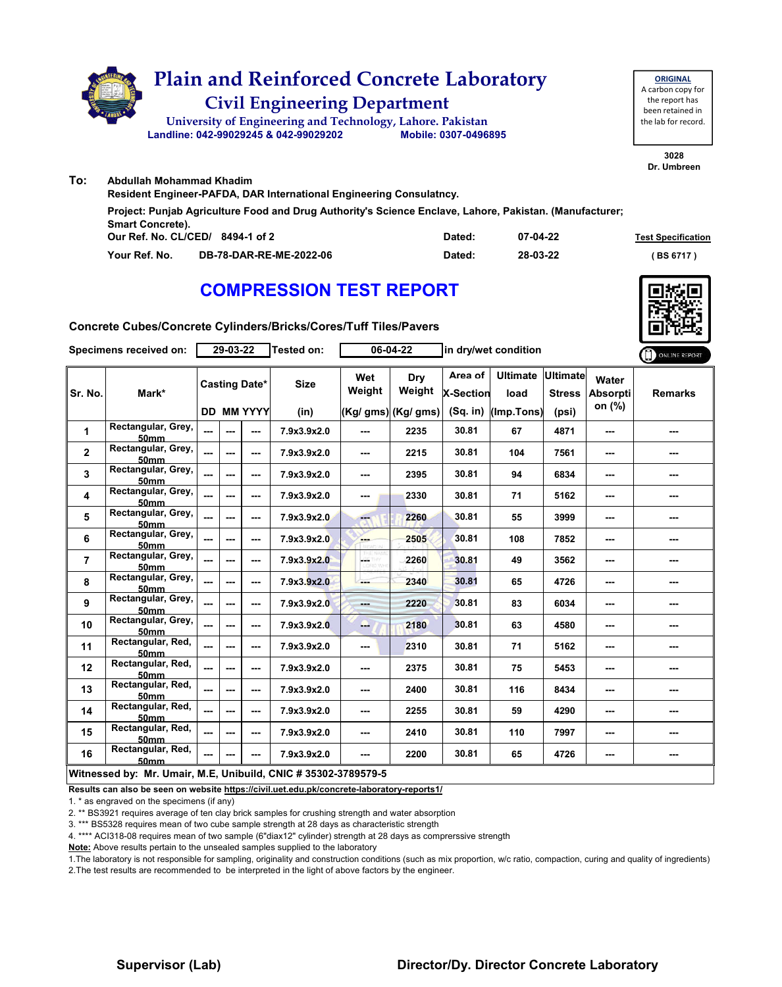

|                                                                                                         | Abdullah Mohammad Khadim                                            |                                  |        |          |                           |  |  |  |  |  |  |
|---------------------------------------------------------------------------------------------------------|---------------------------------------------------------------------|----------------------------------|--------|----------|---------------------------|--|--|--|--|--|--|
|                                                                                                         | Resident Engineer-PAFDA, DAR International Engineering Consulatncy. |                                  |        |          |                           |  |  |  |  |  |  |
| Project: Punjab Agriculture Food and Drug Authority's Science Enclave, Lahore, Pakistan. (Manufacturer; |                                                                     |                                  |        |          |                           |  |  |  |  |  |  |
| <b>Smart Concrete).</b>                                                                                 |                                                                     |                                  |        |          |                           |  |  |  |  |  |  |
|                                                                                                         |                                                                     | Our Ref. No. CL/CED/ 8494-1 of 2 | Dated: | 07-04-22 | <b>Test Specification</b> |  |  |  |  |  |  |
|                                                                                                         | Your Ref. No.                                                       | DB-78-DAR-RE-ME-2022-06          | Dated: | 28-03-22 | (BS 6717)                 |  |  |  |  |  |  |

# **COMPRESSION TEST REPORT**



**3028**

**ORIGINAL**

**Concrete Cubes/Concrete Cylinders/Bricks/Cores/Tuff Tiles/Pavers**

| Specimens received on:  |                                                                | 29-03-22       |        |                      | Tested on:  | 06-04-22      |                      | in dry/wet condition        |                         |                                  |                          | ONLINE REPORT  |
|-------------------------|----------------------------------------------------------------|----------------|--------|----------------------|-------------|---------------|----------------------|-----------------------------|-------------------------|----------------------------------|--------------------------|----------------|
| Sr. No.                 | Mark*                                                          |                |        | <b>Casting Date*</b> | <b>Size</b> | Wet<br>Weight | Dry<br>Weight        | Area of<br><b>X-Section</b> | <b>Ultimate</b><br>load | <b>Ultimate</b><br><b>Stress</b> | Water<br><b>Absorpti</b> | <b>Remarks</b> |
|                         |                                                                |                |        | <b>DD MM YYYY</b>    | (in)        |               | $(Kg/gms)$ (Kg/ gms) | $(Sq.$ in)                  | (Imp.Tons)              | (psi)                            | on $(\%)$                |                |
| $\mathbf{1}$            | Rectangular, Grey,<br><b>50mm</b>                              | $\overline{a}$ |        | ---                  | 7.9x3.9x2.0 | ---           | 2235                 | 30.81                       | 67                      | 4871                             | ---                      | ---            |
| $\overline{\mathbf{2}}$ | Rectangular, Grey,<br>50mm                                     | ---            | ---    | ---                  | 7.9x3.9x2.0 | ---           | 2215                 | 30.81                       | 104                     | 7561                             | ---                      | ---            |
| 3                       | Rectangular, Grey,<br>50mm                                     | $\overline{a}$ | ---    | ---                  | 7.9x3.9x2.0 | ---           | 2395                 | 30.81                       | 94                      | 6834                             | ---                      | ---            |
| 4                       | Rectangular, Grey,<br><b>50mm</b>                              | $\frac{1}{2}$  | ---    | ---                  | 7.9x3.9x2.0 | ---           | 2330                 | 30.81                       | 71                      | 5162                             | ---                      | ---            |
| 5                       | Rectangular, Grey,<br><b>50mm</b>                              | $\frac{1}{2}$  |        | ---                  | 7.9x3.9x2.0 | ---           | 2260                 | 30.81                       | 55                      | 3999                             | ---                      | ---            |
| 6                       | Rectangular, Grey,<br><b>50mm</b>                              | ---            | ---    | ---                  | 7.9x3.9x2.0 | ---           | 2505                 | 30.81                       | 108                     | 7852                             | ---                      |                |
| $\overline{7}$          | Rectangular, Grey,<br><b>50mm</b>                              | $\overline{a}$ | ---    | ---                  | 7.9x3.9x2.0 | posts.        | 2260                 | 30.81                       | 49                      | 3562                             | ---                      | ---            |
| 8                       | Rectangular, Grey,<br><b>50mm</b>                              | $\overline{a}$ | ---    | ---                  | 7.9x3.9x2.0 |               | 2340                 | 30.81                       | 65                      | 4726                             | ---                      | ---            |
| 9                       | Rectangular, Grey,<br><b>50mm</b>                              | $\overline{a}$ | $-$ -- | ---                  | 7.9x3.9x2.0 | mana.         | 2220                 | 30.81                       | 83                      | 6034                             | ---                      | ---            |
| 10                      | Rectangular, Grey,<br>50 <sub>mm</sub>                         | $\overline{a}$ | ---    | ---                  | 7.9x3.9x2.0 | ---           | 2180                 | 30.81                       | 63                      | 4580                             | ---                      | ---            |
| 11                      | Rectangular, Red,<br><b>50mm</b>                               | $\overline{a}$ | ---    | ---                  | 7.9x3.9x2.0 | ---           | 2310                 | 30.81                       | 71                      | 5162                             | ---                      |                |
| 12                      | Rectangular, Red,<br><b>50mm</b>                               | $\overline{a}$ |        | ---                  | 7.9x3.9x2.0 | ---           | 2375                 | 30.81                       | 75                      | 5453                             | ---                      | ---            |
| 13                      | Rectangular, Red,<br><b>50mm</b>                               | $\overline{a}$ |        | ---                  | 7.9x3.9x2.0 | ---           | 2400                 | 30.81                       | 116                     | 8434                             | ---                      | ---            |
| 14                      | Rectangular, Red,<br><b>50mm</b>                               | ---            | ---    | ---                  | 7.9x3.9x2.0 | ---           | 2255                 | 30.81                       | 59                      | 4290                             | ---                      | ---            |
| 15                      | Rectangular, Red,<br><b>50mm</b>                               | ---            |        | ---                  | 7.9x3.9x2.0 | ---           | 2410                 | 30.81                       | 110                     | 7997                             | ---                      |                |
| 16                      | Rectangular, Red,<br>50mm                                      | ---            |        | ---                  | 7.9x3.9x2.0 | $\sim$ $\sim$ | 2200                 | 30.81                       | 65                      | 4726                             | $\sim$                   | ---            |
|                         | Witnessed by: Mr. Umair, M.E, Unibuild, CNIC # 35302-3789579-5 |                |        |                      |             |               |                      |                             |                         |                                  |                          |                |

**Results can also be seen on website https://civil.uet.edu.pk/concrete-laboratory-reports1/**

1. \* as engraved on the specimens (if any)

2. \*\* BS3921 requires average of ten clay brick samples for crushing strength and water absorption

3. \*\*\* BS5328 requires mean of two cube sample strength at 28 days as characteristic strength

4. \*\*\*\* ACI318-08 requires mean of two sample (6"diax12" cylinder) strength at 28 days as comprerssive strength

**Note:** Above results pertain to the unsealed samples supplied to the laboratory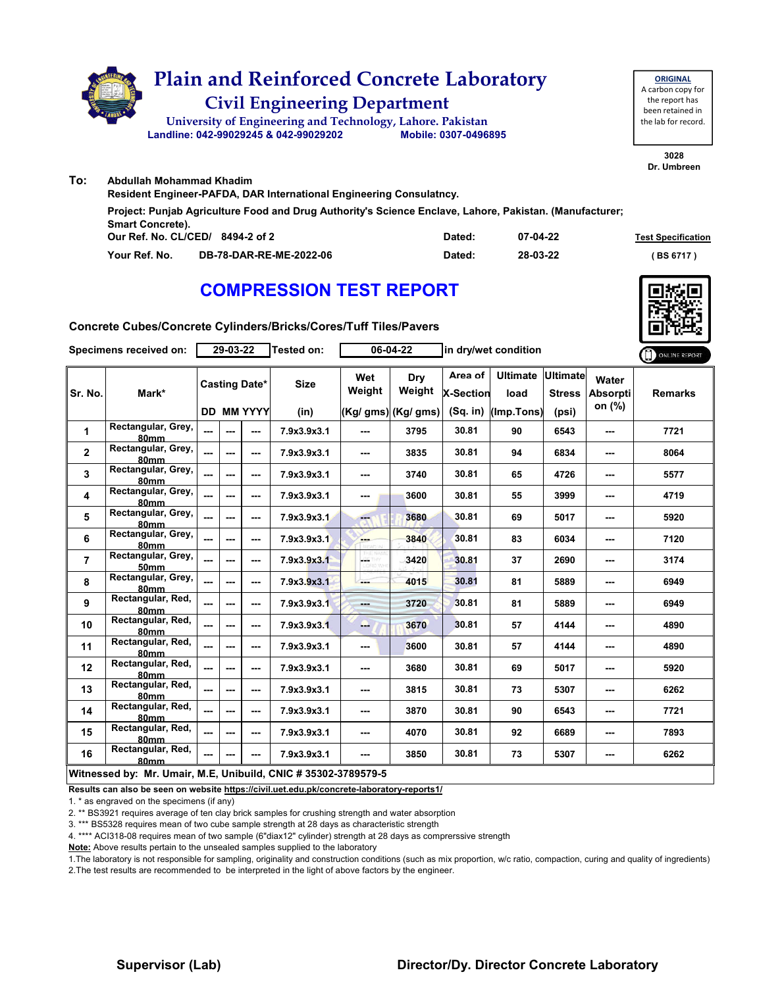

| Resident Engineer-PAFDA, DAR International Engineering Consulatncy.<br>Project: Punjab Agriculture Food and Drug Authority's Science Enclave, Lahore, Pakistan. (Manufacturer;<br><b>Smart Concrete).</b><br>Our Ref. No. CL/CED/ 8494-2 of 2<br>07-04-22<br>Dated:<br>DB-78-DAR-RE-ME-2022-06<br>28-03-22<br>Your Ref. No.<br>Dated: | Abdullah Mohammad Khadim |  |  |                           |  |  |  |  |  |  |  |
|---------------------------------------------------------------------------------------------------------------------------------------------------------------------------------------------------------------------------------------------------------------------------------------------------------------------------------------|--------------------------|--|--|---------------------------|--|--|--|--|--|--|--|
|                                                                                                                                                                                                                                                                                                                                       |                          |  |  |                           |  |  |  |  |  |  |  |
|                                                                                                                                                                                                                                                                                                                                       |                          |  |  |                           |  |  |  |  |  |  |  |
|                                                                                                                                                                                                                                                                                                                                       |                          |  |  |                           |  |  |  |  |  |  |  |
|                                                                                                                                                                                                                                                                                                                                       |                          |  |  | <b>Test Specification</b> |  |  |  |  |  |  |  |
|                                                                                                                                                                                                                                                                                                                                       |                          |  |  | (BS 6717)                 |  |  |  |  |  |  |  |

# **COMPRESSION TEST REPORT**



**3028**

**ORIGINAL**

**Concrete Cubes/Concrete Cylinders/Bricks/Cores/Tuff Tiles/Pavers**

| Specimens received on: |                                                                | 29-03-22       |     |                      | Tested on:  | 06-04-22                 |                      | in dry/wet condition        |                         |                                  | ONLINE REPORT                      |                |
|------------------------|----------------------------------------------------------------|----------------|-----|----------------------|-------------|--------------------------|----------------------|-----------------------------|-------------------------|----------------------------------|------------------------------------|----------------|
| Sr. No.                | Mark*                                                          |                |     | <b>Casting Date*</b> | <b>Size</b> | Wet<br>Weight            | <b>Dry</b><br>Weight | Area of<br><b>X-Section</b> | <b>Ultimate</b><br>load | <b>Ultimate</b><br><b>Stress</b> | Water<br><b>Absorpti</b><br>on (%) | <b>Remarks</b> |
|                        |                                                                |                |     | <b>DD MM YYYY</b>    | (in)        |                          | $(Kg/gms)$ (Kg/ gms) | (Sq. in)                    | (Imp.Tons)              | (psi)                            |                                    |                |
| 1                      | Rectangular, Grey,<br>80mm                                     | ---            | --- | ---                  | 7.9x3.9x3.1 | ---                      | 3795                 | 30.81                       | 90                      | 6543                             | ---                                | 7721           |
| $\mathbf{2}$           | Rectangular, Grey,<br><b>80mm</b>                              | $\overline{a}$ | --- | ---                  | 7.9x3.9x3.1 | ---                      | 3835                 | 30.81                       | 94                      | 6834                             | ---                                | 8064           |
| 3                      | Rectangular, Grey,<br>80mm                                     | ---            | --- | ---                  | 7.9x3.9x3.1 | ---                      | 3740                 | 30.81                       | 65                      | 4726                             | ---                                | 5577           |
| 4                      | Rectangular, Grey,<br>80mm                                     | $\overline{a}$ | --- | ---                  | 7.9x3.9x3.1 | ---                      | 3600                 | 30.81                       | 55                      | 3999                             | ---                                | 4719           |
| 5                      | Rectangular, Grey,<br>80mm                                     | $\overline{a}$ | --- | ---                  | 7.9x3.9x3.1 | ---                      | 3680                 | 30.81                       | 69                      | 5017                             | ---                                | 5920           |
| 6                      | Rectangular, Grey,<br><b>80mm</b>                              |                | --- | ---                  | 7.9x3.9x3.1 | ---                      | 3840                 | 30.81                       | 83                      | 6034                             | ---                                | 7120           |
| $\overline{7}$         | Rectangular, Grey,<br><b>50mm</b>                              | ---            | --- | ---                  | 7.9x3.9x3.1 | L.                       | 3420                 | 30.81                       | 37                      | 2690                             | ---                                | 3174           |
| 8                      | Rectangular, Grey,<br>80mm                                     | ---            | --- | ---                  | 7.9x3.9x3.1 |                          | 4015                 | 30.81                       | 81                      | 5889                             | ---                                | 6949           |
| 9                      | Rectangular, Red,<br>80mm                                      | ---            | --- | ---                  | 7.9x3.9x3.1 | ---                      | 3720                 | 30.81                       | 81                      | 5889                             | ---                                | 6949           |
| 10                     | Rectangular, Red,<br>80mm                                      | $\sim$         | --- | ---                  | 7.9x3.9x3.1 | ---                      | 3670                 | 30.81                       | 57                      | 4144                             | ---                                | 4890           |
| 11                     | Rectangular, Red,<br>80mm                                      | ---            | --- | ---                  | 7.9x3.9x3.1 | ---                      | 3600                 | 30.81                       | 57                      | 4144                             | ---                                | 4890           |
| 12                     | Rectangular, Red,<br><b>80mm</b>                               | ---            | --- | ---                  | 7.9x3.9x3.1 | ---                      | 3680                 | 30.81                       | 69                      | 5017                             | ---                                | 5920           |
| 13                     | Rectangular, Red,<br>80mm                                      | ---            | --- | ---                  | 7.9x3.9x3.1 | ---                      | 3815                 | 30.81                       | 73                      | 5307                             | ---                                | 6262           |
| 14                     | Rectangular, Red,<br>80mm                                      | ---            | --- | ---                  | 7.9x3.9x3.1 | ---                      | 3870                 | 30.81                       | 90                      | 6543                             | ---                                | 7721           |
| 15                     | Rectangular, Red,<br>80mm                                      | ---            | --- | ---                  | 7.9x3.9x3.1 | ---                      | 4070                 | 30.81                       | 92                      | 6689                             | ---                                | 7893           |
| 16                     | Rectangular, Red,<br>80mm                                      | $\overline{a}$ | --- | ---                  | 7.9x3.9x3.1 | $\overline{\phantom{a}}$ | 3850                 | 30.81                       | 73                      | 5307                             | ---                                | 6262           |
|                        | Witnessed by: Mr. Umair, M.E, Unibuild, CNIC # 35302-3789579-5 |                |     |                      |             |                          |                      |                             |                         |                                  |                                    |                |

**Results can also be seen on website https://civil.uet.edu.pk/concrete-laboratory-reports1/**

1. \* as engraved on the specimens (if any)

2. \*\* BS3921 requires average of ten clay brick samples for crushing strength and water absorption

3. \*\*\* BS5328 requires mean of two cube sample strength at 28 days as characteristic strength

4. \*\*\*\* ACI318-08 requires mean of two sample (6"diax12" cylinder) strength at 28 days as comprerssive strength

**Note:** Above results pertain to the unsealed samples supplied to the laboratory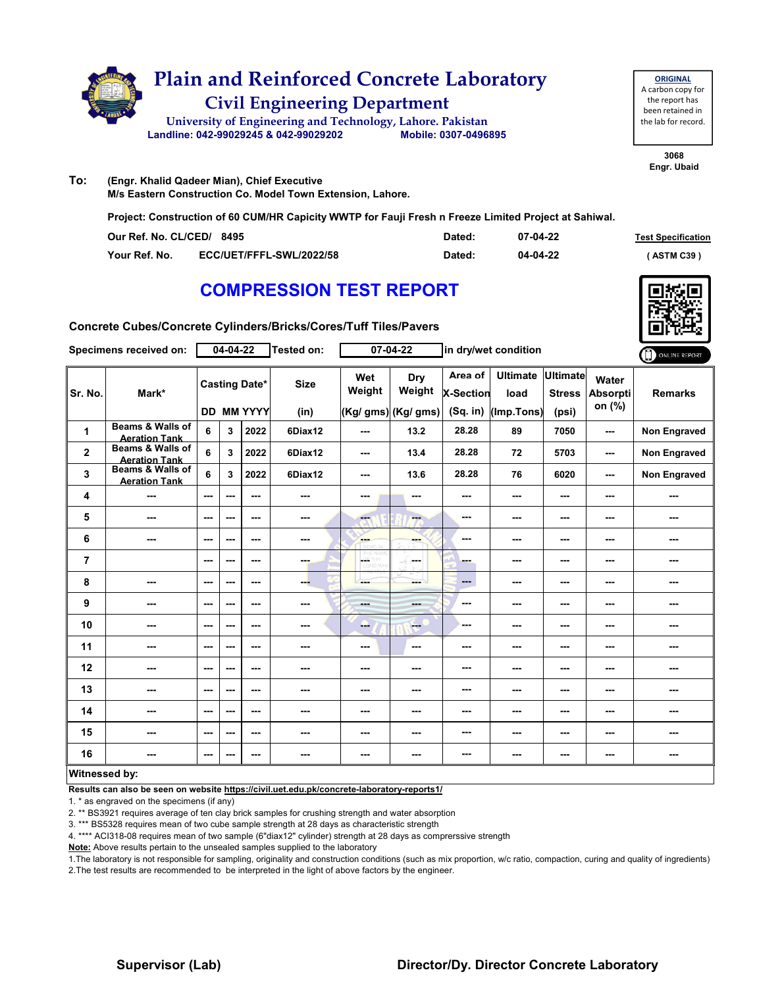

**ORIGINAL** A carbon copy for the report has been retained in the lab for record.

> **3068 Engr. Ubaid**

**To: (Engr. Khalid Qadeer Mian), Chief Executive M/s Eastern Construction Co. Model Town Extension, Lahore.**

**Project: Construction of 60 CUM/HR Capicity WWTP for Fauji Fresh n Freeze Limited Project at Sahiwal.**

| Our Ref. No. CL/CED/ 8495 |                                 | Dated: | 07-04-22 | <b>Test Specification</b> |
|---------------------------|---------------------------------|--------|----------|---------------------------|
| Your Ref. No.             | <b>ECC/UET/FFFL-SWL/2022/58</b> | Dated: | 04-04-22 | <b>ASTM C39)</b>          |

### **COMPRESSION TEST REPORT**



**Concrete Cubes/Concrete Cylinders/Bricks/Cores/Tuff Tiles/Pavers**

|                | Specimens received on:                   |         | 04-04-22 |                      | Tested on:  |                          | $07 - 04 - 22$      |                             | in dry/wet condition    |                                  |                                    | ONLINE REPORT       |
|----------------|------------------------------------------|---------|----------|----------------------|-------------|--------------------------|---------------------|-----------------------------|-------------------------|----------------------------------|------------------------------------|---------------------|
| Sr. No.        | Mark*                                    |         |          | <b>Casting Date*</b> | <b>Size</b> | Wet<br>Weight            | Dry<br>Weight       | Area of<br><b>X-Section</b> | <b>Ultimate</b><br>load | <b>Ultimate</b><br><b>Stress</b> | Water<br><b>Absorpti</b><br>on (%) | <b>Remarks</b>      |
|                |                                          |         |          | <b>DD MM YYYY</b>    | (in)        |                          | (Kg/ gms) (Kg/ gms) | (Sq. in)                    | (Imp.Tons)              | (psi)                            |                                    |                     |
| 1              | Beams & Walls of<br><b>Aeration Tank</b> | 6       | 3        | 2022                 | 6Diax12     | $\overline{\phantom{a}}$ | 13.2                | 28.28                       | 89                      | 7050                             | $\overline{\phantom{a}}$           | <b>Non Engraved</b> |
| $\mathbf{2}$   | Beams & Walls of<br><b>Aeration Tank</b> | 6       | 3        | 2022                 | 6Diax12     | $\sim$ $\sim$            | 13.4                | 28.28                       | 72                      | 5703                             | $- - -$                            | <b>Non Engraved</b> |
| 3              | Beams & Walls of<br><b>Aeration Tank</b> | 6       | 3        | 2022                 | 6Diax12     | $- - -$                  | 13.6                | 28.28                       | 76                      | 6020                             | $\sim$ $\sim$                      | <b>Non Engraved</b> |
| 4              | ---                                      | $- - -$ | ---      | $- - -$              | ---         | ---                      | ---                 | ---                         | ---                     | ---                              | ---                                | ---                 |
| 5              | ---                                      | $--$    | ---      | ---                  | ---         | ---                      | ---                 | ---                         | ---                     | ---                              | ---                                | ---                 |
| 6              | ---                                      | ---     | ---      | $--$                 | ---         | <b>SHOP</b>              | ---                 | ---                         | ---                     | $\overline{\phantom{a}}$         | ---                                | ---                 |
| $\overline{7}$ |                                          | ---     | ---      | ---                  | ---         | $\frac{1}{2}$            | <b>Service</b>      | ---                         | ---                     | $\sim$                           | ---                                | ---                 |
| 8              | ---                                      | ---     | $--$     | ---                  | ---         | ---                      | ---                 | ---                         | $--$                    | $\overline{\phantom{a}}$         | ---                                | ---                 |
| 9              | ---                                      | ---     | ---      | ---                  |             | <b>Basic</b>             | <b>STORY</b>        | ---                         | ---                     | ---                              | ---                                | ---                 |
| 10             | ---                                      | $--$    | ---      | ---                  | ---         | --                       | $\qquad \qquad -$   | ---                         | ---                     | ---                              | ---                                | ---                 |
| 11             | ---                                      | ---     | ---      | ---                  | ---         | ---                      | ---                 | ---                         | ---                     | ---                              | ---                                |                     |
| 12             | ---                                      | ---     | ---      | ---                  | ---         | ---                      | ---                 | ---                         | ---                     | ---                              | ---                                | ---                 |
| 13             | ---                                      | ---     | ---      | ---                  | ---         | ---                      | ---                 | ---                         | ---                     | ---                              | ---                                | ---                 |
| 14             | ---                                      | ---     | ---      | ---                  | ---         | ---                      | ---                 | ---                         | ---                     | ---                              | ---                                |                     |
| 15             | ---                                      | ---     | ---      | ---                  | ---         | ---                      | ---                 | ---                         | ---                     | ---                              | ---                                | ---                 |
| 16             | ---                                      | ---     | ---      | ---                  | ---         | ---                      | ---                 | ---                         | ---                     | ---                              | ---                                | ---                 |
| Witnessed by:  |                                          |         |          |                      |             |                          |                     |                             |                         |                                  |                                    |                     |

**Results can also be seen on website https://civil.uet.edu.pk/concrete-laboratory-reports1/**

1. \* as engraved on the specimens (if any)

2. \*\* BS3921 requires average of ten clay brick samples for crushing strength and water absorption

3. \*\*\* BS5328 requires mean of two cube sample strength at 28 days as characteristic strength

4. \*\*\*\* ACI318-08 requires mean of two sample (6"diax12" cylinder) strength at 28 days as comprerssive strength

**Note:** Above results pertain to the unsealed samples supplied to the laboratory